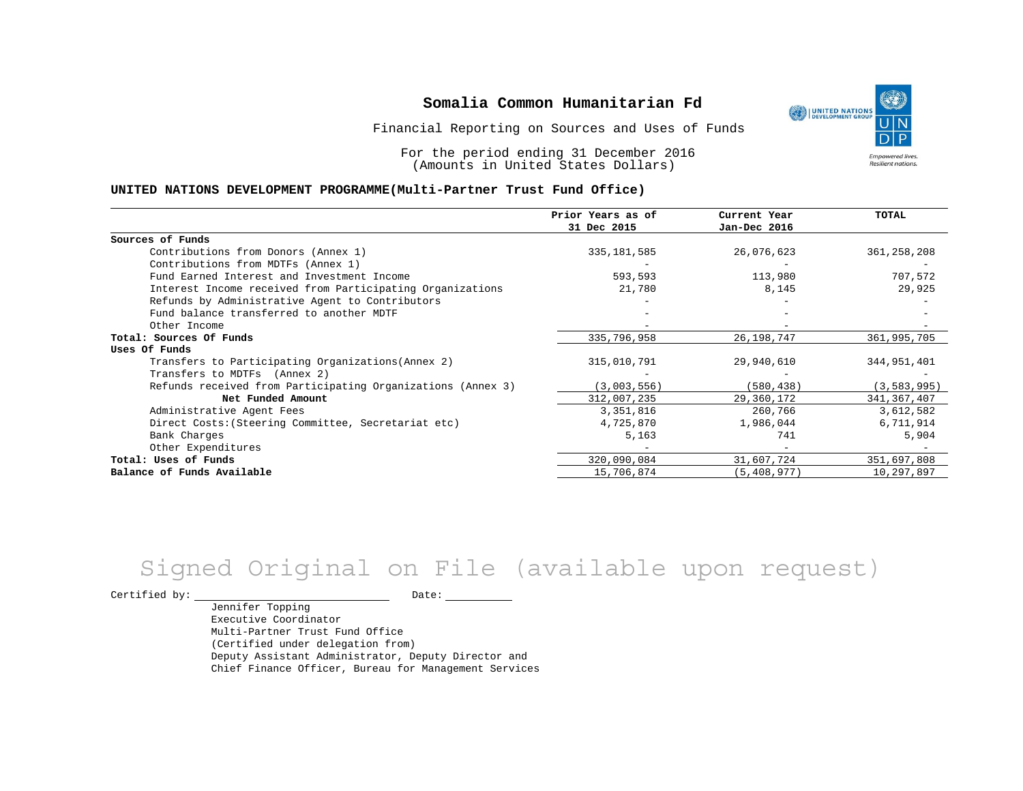Financial Reporting on Sources and Uses of Funds

For the period ending 31 December 2016 (Amounts in United States Dollars)

#### **UNITED NATIONS DEVELOPMENT PROGRAMME(Multi-Partner Trust Fund Office)**

|                                                             | Prior Years as of | Current Year  | <b>TOTAL</b>  |
|-------------------------------------------------------------|-------------------|---------------|---------------|
|                                                             | 31 Dec 2015       | Jan-Dec 2016  |               |
| Sources of Funds                                            |                   |               |               |
| Contributions from Donors (Annex 1)                         | 335, 181, 585     | 26,076,623    | 361, 258, 208 |
| Contributions from MDTFs (Annex 1)                          |                   |               |               |
| Fund Earned Interest and Investment Income                  | 593,593           | 113,980       | 707,572       |
| Interest Income received from Participating Organizations   | 21,780            | 8,145         | 29,925        |
| Refunds by Administrative Agent to Contributors             |                   |               |               |
| Fund balance transferred to another MDTF                    |                   |               |               |
| Other Income                                                |                   |               |               |
| Total: Sources Of Funds                                     | 335,796,958       | 26, 198, 747  | 361,995,705   |
| Uses Of Funds                                               |                   |               |               |
| Transfers to Participating Organizations (Annex 2)          | 315,010,791       | 29,940,610    | 344,951,401   |
| Transfers to MDTFs (Annex 2)                                |                   |               |               |
| Refunds received from Participating Organizations (Annex 3) | (3,003,556)       | (580, 438)    | (3, 583, 995) |
| Net Funded Amount                                           | 312,007,235       | 29,360,172    | 341, 367, 407 |
| Administrative Agent Fees                                   | 3,351,816         | 260,766       | 3,612,582     |
| Direct Costs: (Steering Committee, Secretariat etc)         | 4,725,870         | 1,986,044     | 6,711,914     |
| Bank Charges                                                | 5,163             | 741           | 5,904         |
| Other Expenditures                                          |                   |               |               |
| Total: Uses of Funds                                        | 320,090,084       | 31,607,724    | 351,697,808   |
| Balance of Funds Available                                  | 15,706,874        | (5, 408, 977) | 10,297,897    |

# Signed Original on File (available upon request)

Certified by: Date:

Jennifer Topping Executive Coordinator Multi-Partner Trust Fund Office (Certified under delegation from) Deputy Assistant Administrator, Deputy Director and Chief Finance Officer, Bureau for Management Services

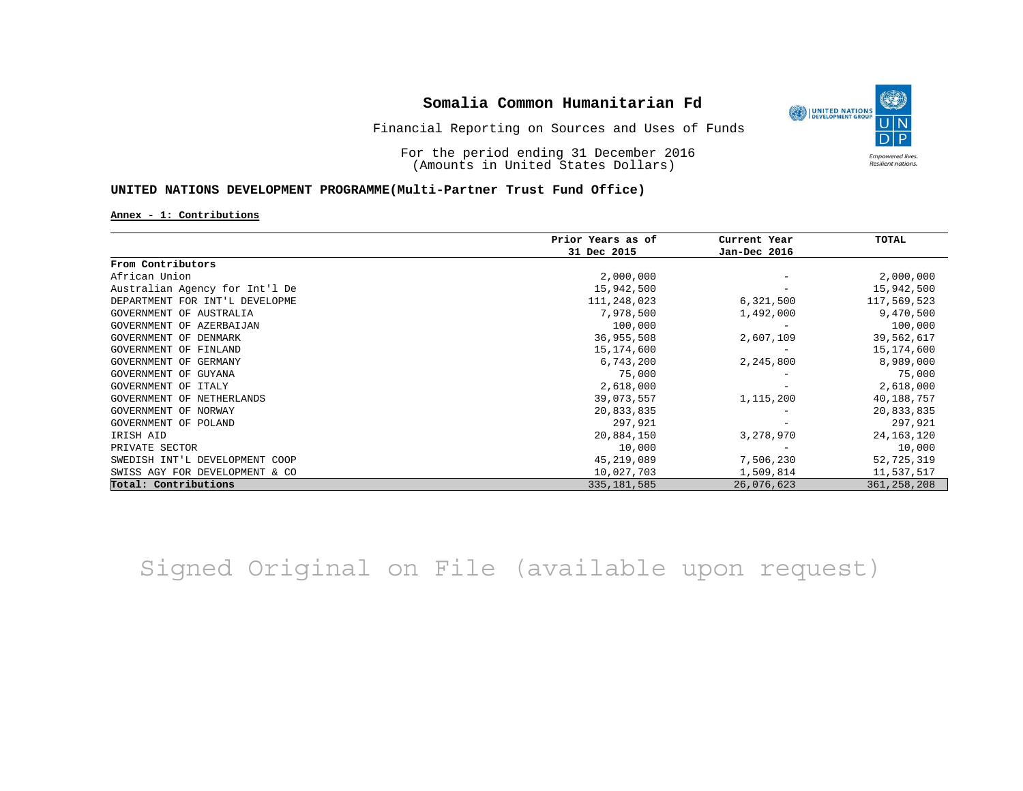

## Financial Reporting on Sources and Uses of Funds

For the period ending 31 December 2016 (Amounts in United States Dollars)

### **UNITED NATIONS DEVELOPMENT PROGRAMME(Multi-Partner Trust Fund Office)**

#### **Annex - 1: Contributions**

|                                | Prior Years as of | Current Year | TOTAL         |
|--------------------------------|-------------------|--------------|---------------|
|                                | 31 Dec 2015       | Jan-Dec 2016 |               |
| From Contributors              |                   |              |               |
| African Union                  | 2,000,000         |              | 2,000,000     |
| Australian Agency for Int'l De | 15,942,500        |              | 15,942,500    |
| DEPARTMENT FOR INT'L DEVELOPME | 111,248,023       | 6,321,500    | 117,569,523   |
| GOVERNMENT OF AUSTRALIA        | 7,978,500         | 1,492,000    | 9,470,500     |
| GOVERNMENT OF AZERBAIJAN       | 100,000           |              | 100,000       |
| GOVERNMENT OF DENMARK          | 36,955,508        | 2,607,109    | 39,562,617    |
| GOVERNMENT OF FINLAND          | 15,174,600        |              | 15,174,600    |
| GOVERNMENT OF GERMANY          | 6,743,200         | 2,245,800    | 8,989,000     |
| GOVERNMENT OF GUYANA           | 75,000            |              | 75,000        |
| GOVERNMENT OF ITALY            | 2,618,000         |              | 2,618,000     |
| GOVERNMENT OF NETHERLANDS      | 39,073,557        | 1,115,200    | 40,188,757    |
| GOVERNMENT OF NORWAY           | 20,833,835        |              | 20,833,835    |
| GOVERNMENT OF POLAND           | 297,921           |              | 297,921       |
| IRISH AID                      | 20,884,150        | 3,278,970    | 24, 163, 120  |
| PRIVATE SECTOR                 | 10,000            |              | 10,000        |
| SWEDISH INT'L DEVELOPMENT COOP | 45,219,089        | 7,506,230    | 52,725,319    |
| SWISS AGY FOR DEVELOPMENT & CO | 10,027,703        | 1,509,814    | 11,537,517    |
| Total: Contributions           | 335, 181, 585     | 26,076,623   | 361, 258, 208 |

Signed Original on File (available upon request)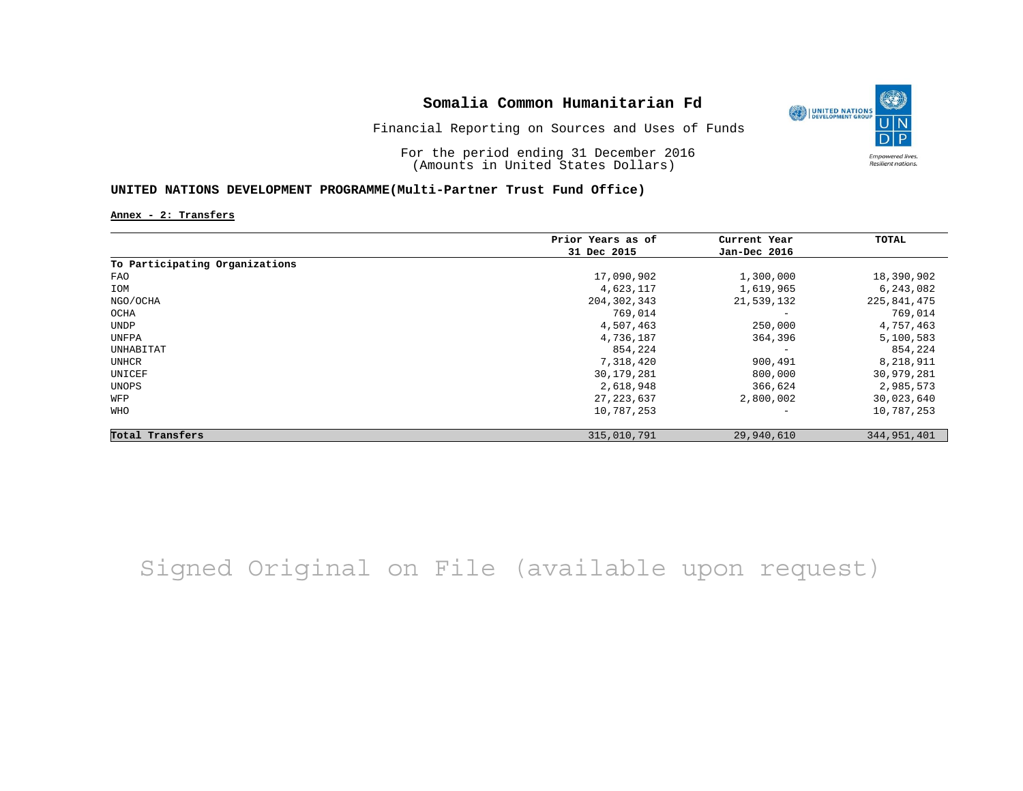

For the period ending 31 December 2016 (Amounts in United States Dollars)

### **UNITED NATIONS DEVELOPMENT PROGRAMME(Multi-Partner Trust Fund Office)**

**Annex - 2: Transfers**

|                                | Prior Years as of | Current Year      | TOTAL       |
|--------------------------------|-------------------|-------------------|-------------|
|                                | 31 Dec 2015       | Jan-Dec 2016      |             |
| To Participating Organizations |                   |                   |             |
| FAO                            | 17,090,902        | 1,300,000         | 18,390,902  |
| IOM                            | 4,623,117         | 1,619,965         | 6,243,082   |
| NGO/OCHA                       | 204, 302, 343     | 21,539,132        | 225,841,475 |
| OCHA                           | 769,014           |                   | 769,014     |
| UNDP                           | 4,507,463         | 250,000           | 4,757,463   |
| UNFPA                          | 4,736,187         | 364,396           | 5,100,583   |
| UNHABITAT                      | 854,224           | $\qquad \qquad -$ | 854,224     |
| UNHCR                          | 7,318,420         | 900,491           | 8,218,911   |
| UNICEF                         | 30, 179, 281      | 800,000           | 30,979,281  |
| UNOPS                          | 2,618,948         | 366,624           | 2,985,573   |
| WFP                            | 27, 223, 637      | 2,800,002         | 30,023,640  |
| WHO                            | 10,787,253        |                   | 10,787,253  |
| Total Transfers                | 315,010,791       | 29,940,610        | 344,951,401 |

## Signed Original on File (available upon request)